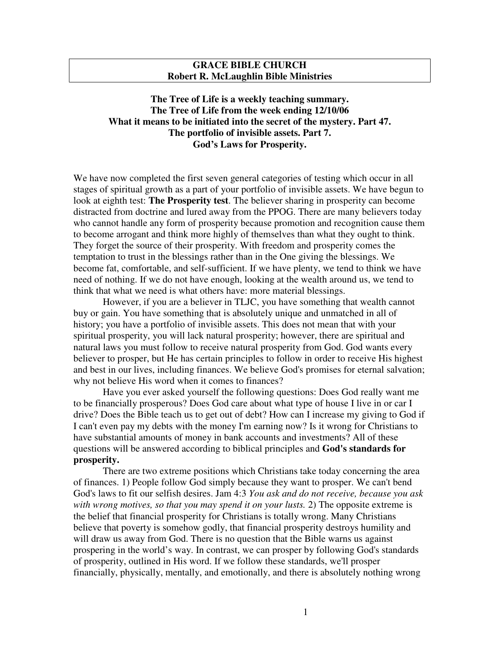## **GRACE BIBLE CHURCH Robert R. McLaughlin Bible Ministries**

## **The Tree of Life is a weekly teaching summary. The Tree of Life from the week ending 12/10/06 What it means to be initiated into the secret of the mystery. Part 47. The portfolio of invisible assets. Part 7. God's Laws for Prosperity.**

We have now completed the first seven general categories of testing which occur in all stages of spiritual growth as a part of your portfolio of invisible assets. We have begun to look at eighth test: **The Prosperity test**. The believer sharing in prosperity can become distracted from doctrine and lured away from the PPOG. There are many believers today who cannot handle any form of prosperity because promotion and recognition cause them to become arrogant and think more highly of themselves than what they ought to think. They forget the source of their prosperity. With freedom and prosperity comes the temptation to trust in the blessings rather than in the One giving the blessings. We become fat, comfortable, and self-sufficient. If we have plenty, we tend to think we have need of nothing. If we do not have enough, looking at the wealth around us, we tend to think that what we need is what others have: more material blessings.

However, if you are a believer in TLJC, you have something that wealth cannot buy or gain. You have something that is absolutely unique and unmatched in all of history; you have a portfolio of invisible assets. This does not mean that with your spiritual prosperity, you will lack natural prosperity; however, there are spiritual and natural laws you must follow to receive natural prosperity from God. God wants every believer to prosper, but He has certain principles to follow in order to receive His highest and best in our lives, including finances. We believe God's promises for eternal salvation; why not believe His word when it comes to finances?

Have you ever asked yourself the following questions: Does God really want me to be financially prosperous? Does God care about what type of house I live in or car I drive? Does the Bible teach us to get out of debt? How can I increase my giving to God if I can't even pay my debts with the money I'm earning now? Is it wrong for Christians to have substantial amounts of money in bank accounts and investments? All of these questions will be answered according to biblical principles and **God's standards for prosperity.**

There are two extreme positions which Christians take today concerning the area of finances. 1) People follow God simply because they want to prosper. We can't bend God's laws to fit our selfish desires. Jam 4:3 *You ask and do not receive, because you ask with wrong motives, so that you may spend it on your lusts.* 2) The opposite extreme is the belief that financial prosperity for Christians is totally wrong. Many Christians believe that poverty is somehow godly, that financial prosperity destroys humility and will draw us away from God. There is no question that the Bible warns us against prospering in the world's way. In contrast, we can prosper by following God's standards of prosperity, outlined in His word. If we follow these standards, we'll prosper financially, physically, mentally, and emotionally, and there is absolutely nothing wrong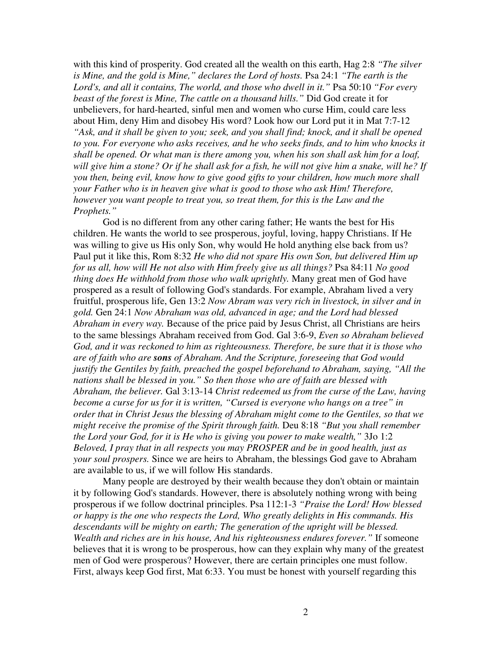with this kind of prosperity. God created all the wealth on this earth, Hag 2:8 *"The silver is Mine, and the gold is Mine," declares the Lord of hosts.* Psa 24:1 *"The earth is the Lord's, and all it contains, The world, and those who dwell in it."* Psa 50:10 *"For every beast of the forest is Mine, The cattle on a thousand hills."* Did God create it for unbelievers, for hard-hearted, sinful men and women who curse Him, could care less about Him, deny Him and disobey His word? Look how our Lord put it in Mat 7:7-12 *"Ask, and it shall be given to you; seek, and you shall find; knock, and it shall be opened to you. For everyone who asks receives, and he who seeks finds, and to him who knocks it shall be opened. Or what man is there among you, when his son shall ask him for a loaf,* will give him a stone? Or if he shall ask for a fish, he will not give him a snake, will he? If *you then, being evil, know how to give good gifts to your children, how much more shall your Father who is in heaven give what is good to those who ask Him! Therefore, however you want people to treat you, so treat them, for this is the Law and the Prophets."*

God is no different from any other caring father; He wants the best for His children. He wants the world to see prosperous, joyful, loving, happy Christians. If He was willing to give us His only Son, why would He hold anything else back from us? Paul put it like this, Rom 8:32 *He who did not spare His own Son, but delivered Him up for us all, how will He not also with Him freely give us all things?* Psa 84:11 *No good thing does He withhold from those who walk uprightly.* Many great men of God have prospered as a result of following God's standards. For example, Abraham lived a very fruitful, prosperous life, Gen 13:2 *Now Abram was very rich in livestock, in silver and in gold.* Gen 24:1 *Now Abraham was old, advanced in age; and the Lord had blessed Abraham in every way.* Because of the price paid by Jesus Christ, all Christians are heirs to the same blessings Abraham received from God. Gal 3:6-9, *Even so Abraham believed God, and it was reckoned to him as righteousness. Therefore, be sure that it is those who are of faith who are sons of Abraham. And the Scripture, foreseeing that God would justify the Gentiles by faith, preached the gospel beforehand to Abraham, saying, "All the nations shall be blessed in you." So then those who are of faith are blessed with Abraham, the believer.* Gal 3:13-14 *Christ redeemed us from the curse of the Law, having become a curse for us for it is written, "Cursed is everyone who hangs on a tree" in order that in Christ Jesus the blessing of Abraham might come to the Gentiles, so that we might receive the promise of the Spirit through faith.* Deu 8:18 *"But you shall remember the Lord your God, for it is He who is giving you power to make wealth,"* 3Jo 1:2 *Beloved, I pray that in all respects you may PROSPER and be in good health, just as your soul prospers.* Since we are heirs to Abraham, the blessings God gave to Abraham are available to us, if we will follow His standards.

Many people are destroyed by their wealth because they don't obtain or maintain it by following God's standards. However, there is absolutely nothing wrong with being prosperous if we follow doctrinal principles. Psa 112:1-3 *"Praise the Lord! How blessed or happy is the one who respects the Lord, Who greatly delights in His commands. His descendants will be mighty on earth; The generation of the upright will be blessed. Wealth and riches are in his house, And his righteousness endures forever."* If someone believes that it is wrong to be prosperous, how can they explain why many of the greatest men of God were prosperous? However, there are certain principles one must follow. First, always keep God first, Mat 6:33. You must be honest with yourself regarding this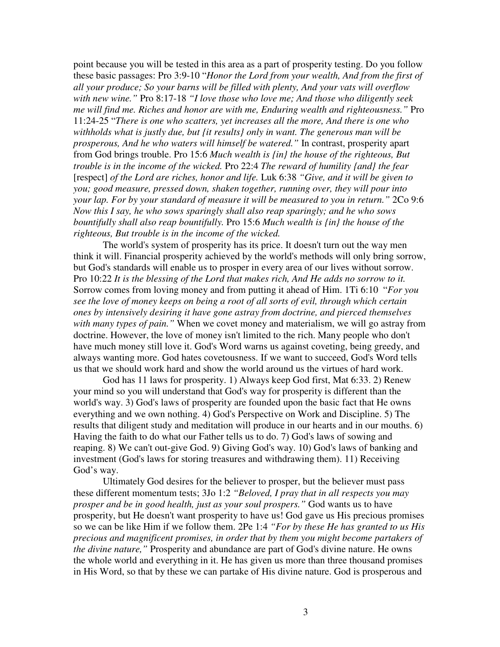point because you will be tested in this area as a part of prosperity testing. Do you follow these basic passages: Pro 3:9-10 "*Honor the Lord from your wealth, And from the first of all your produce; So your barns will be filled with plenty, And your vats will overflow with new wine."* Pro 8:17-18 *"I love those who love me; And those who diligently seek me will find me. Riches and honor are with me, Enduring wealth and righteousness."* Pro 11:24-25 "*There is one who scatters, yet increases all the more, And there is one who withholds what is justly due, but {it results} only in want. The generous man will be prosperous, And he who waters will himself be watered."* In contrast, prosperity apart from God brings trouble. Pro 15:6 *Much wealth is {in} the house of the righteous, But trouble is in the income of the wicked.* Pro 22:4 *The reward of humility {and} the fear* [respect] *of the Lord are riches, honor and life.* Luk 6:38 *"Give, and it will be given to you; good measure, pressed down, shaken together, running over, they will pour into your lap. For by your standard of measure it will be measured to you in return."* 2Co 9:6 *Now this I say, he who sows sparingly shall also reap sparingly; and he who sows bountifully shall also reap bountifully.* Pro 15:6 *Much wealth is {in} the house of the righteous, But trouble is in the income of the wicked.*

The world's system of prosperity has its price. It doesn't turn out the way men think it will. Financial prosperity achieved by the world's methods will only bring sorrow, but God's standards will enable us to prosper in every area of our lives without sorrow. Pro 10:22 *It is the blessing of the Lord that makes rich, And He adds no sorrow to it.* Sorrow comes from loving money and from putting it ahead of Him. 1Ti 6:10 "*For you see the love of money keeps on being a root of all sorts of evil, through which certain ones by intensively desiring it have gone astray from doctrine, and pierced themselves with many types of pain."* When we covet money and materialism, we will go astray from doctrine. However, the love of money isn't limited to the rich. Many people who don't have much money still love it. God's Word warns us against coveting, being greedy, and always wanting more. God hates covetousness. If we want to succeed, God's Word tells us that we should work hard and show the world around us the virtues of hard work.

God has 11 laws for prosperity. 1) Always keep God first, Mat 6:33. 2) Renew your mind so you will understand that God's way for prosperity is different than the world's way. 3) God's laws of prosperity are founded upon the basic fact that He owns everything and we own nothing. 4) God's Perspective on Work and Discipline. 5) The results that diligent study and meditation will produce in our hearts and in our mouths. 6) Having the faith to do what our Father tells us to do. 7) God's laws of sowing and reaping. 8) We can't out-give God. 9) Giving God's way. 10) God's laws of banking and investment (God's laws for storing treasures and withdrawing them). 11) Receiving God's way.

Ultimately God desires for the believer to prosper, but the believer must pass these different momentum tests; 3Jo 1:2 *"Beloved, I pray that in all respects you may prosper and be in good health, just as your soul prospers."* God wants us to have prosperity, but He doesn't want prosperity to have us! God gave us His precious promises so we can be like Him if we follow them. 2Pe 1:4 *"For by these He has granted to us His precious and magnificent promises, in order that by them you might become partakers of the divine nature,"* Prosperity and abundance are part of God's divine nature. He owns the whole world and everything in it. He has given us more than three thousand promises in His Word, so that by these we can partake of His divine nature. God is prosperous and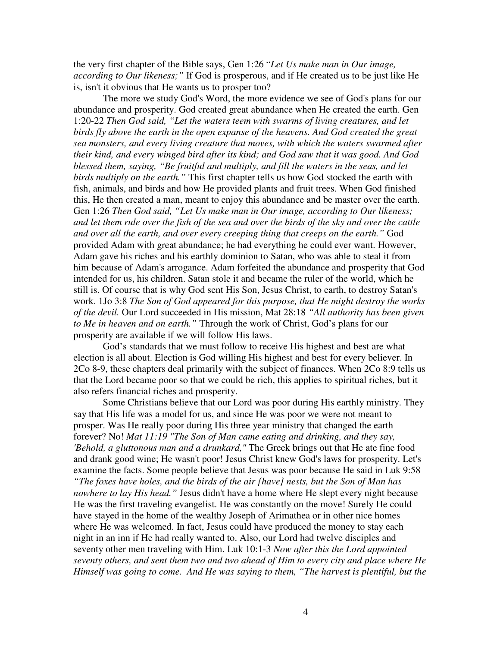the very first chapter of the Bible says, Gen 1:26 "*Let Us make man in Our image, according to Our likeness;"* If God is prosperous, and if He created us to be just like He is, isn't it obvious that He wants us to prosper too?

The more we study God's Word, the more evidence we see of God's plans for our abundance and prosperity. God created great abundance when He created the earth. Gen 1:20-22 *Then God said, "Let the waters teem with swarms of living creatures, and let birds fly above the earth in the open expanse of the heavens. And God created the great sea monsters, and every living creature that moves, with which the waters swarmed after their kind, and every winged bird after its kind; and God saw that it was good. And God blessed them, saying, "Be fruitful and multiply, and fill the waters in the seas, and let birds multiply on the earth."* This first chapter tells us how God stocked the earth with fish, animals, and birds and how He provided plants and fruit trees. When God finished this, He then created a man, meant to enjoy this abundance and be master over the earth. Gen 1:26 *Then God said, "Let Us make man in Our image, according to Our likeness;* and let them rule over the fish of the sea and over the birds of the sky and over the cattle *and over all the earth, and over every creeping thing that creeps on the earth."* God provided Adam with great abundance; he had everything he could ever want. However, Adam gave his riches and his earthly dominion to Satan, who was able to steal it from him because of Adam's arrogance. Adam forfeited the abundance and prosperity that God intended for us, his children. Satan stole it and became the ruler of the world, which he still is. Of course that is why God sent His Son, Jesus Christ, to earth, to destroy Satan's work. 1Jo 3:8 *The Son of God appeared for this purpose, that He might destroy the works of the devil.* Our Lord succeeded in His mission, Mat 28:18 *"All authority has been given to Me in heaven and on earth."* Through the work of Christ, God's plans for our prosperity are available if we will follow His laws.

God's standards that we must follow to receive His highest and best are what election is all about. Election is God willing His highest and best for every believer. In 2Co 8-9, these chapters deal primarily with the subject of finances. When 2Co 8:9 tells us that the Lord became poor so that we could be rich, this applies to spiritual riches, but it also refers financial riches and prosperity.

Some Christians believe that our Lord was poor during His earthly ministry. They say that His life was a model for us, and since He was poor we were not meant to prosper. Was He really poor during His three year ministry that changed the earth forever? No! *Mat 11:19 "The Son of Man came eating and drinking, and they say, 'Behold, a gluttonous man and a drunkard,"* The Greek brings out that He ate fine food and drank good wine; He wasn't poor! Jesus Christ knew God's laws for prosperity. Let's examine the facts. Some people believe that Jesus was poor because He said in Luk 9:58 *"The foxes have holes, and the birds of the air {have} nests, but the Son of Man has nowhere to lay His head."* Jesus didn't have a home where He slept every night because He was the first traveling evangelist. He was constantly on the move! Surely He could have stayed in the home of the wealthy Joseph of Arimathea or in other nice homes where He was welcomed. In fact, Jesus could have produced the money to stay each night in an inn if He had really wanted to. Also, our Lord had twelve disciples and seventy other men traveling with Him. Luk 10:1-3 *Now after this the Lord appointed seventy others, and sent them two and two ahead of Him to every city and place where He Himself was going to come. And He was saying to them, "The harvest is plentiful, but the*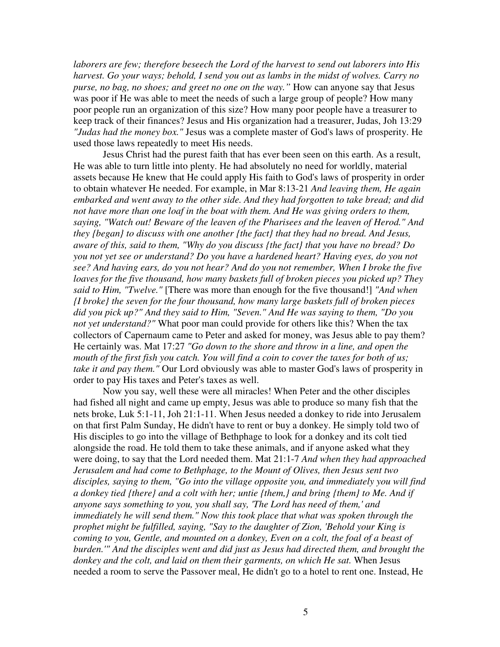*laborers are few; therefore beseech the Lord of the harvest to send out laborers into His harvest. Go your ways; behold, I send you out as lambs in the midst of wolves. Carry no purse, no bag, no shoes; and greet no one on the way."* How can anyone say that Jesus was poor if He was able to meet the needs of such a large group of people? How many poor people run an organization of this size? How many poor people have a treasurer to keep track of their finances? Jesus and His organization had a treasurer, Judas, Joh 13:29 *"Judas had the money box."* Jesus was a complete master of God's laws of prosperity. He used those laws repeatedly to meet His needs.

Jesus Christ had the purest faith that has ever been seen on this earth. As a result, He was able to turn little into plenty. He had absolutely no need for worldly, material assets because He knew that He could apply His faith to God's laws of prosperity in order to obtain whatever He needed. For example, in Mar 8:13-21 *And leaving them, He again embarked and went away to the other side. And they had forgotten to take bread; and did not have more than one loaf in the boat with them. And He was giving orders to them, saying, "Watch out! Beware of the leaven of the Pharisees and the leaven of Herod." And they {began} to discuss with one another {the fact} that they had no bread. And Jesus, aware of this, said to them, "Why do you discuss {the fact} that you have no bread? Do you not yet see or understand? Do you have a hardened heart? Having eyes, do you not see? And having ears, do you not hear? And do you not remember, When I broke the five loaves for the five thousand, how many baskets full of broken pieces you picked up? They said to Him, "Twelve."* [There was more than enough for the five thousand!] *"And when {I broke} the seven for the four thousand, how many large baskets full of broken pieces did you pick up?" And they said to Him, "Seven." And He was saying to them, "Do you not yet understand?"* What poor man could provide for others like this? When the tax collectors of Capernaum came to Peter and asked for money, was Jesus able to pay them? He certainly was. Mat 17:27 *"Go down to the shore and throw in a line, and open the* mouth of the first fish you catch. You will find a coin to cover the taxes for both of us; *take it and pay them."* Our Lord obviously was able to master God's laws of prosperity in order to pay His taxes and Peter's taxes as well.

Now you say, well these were all miracles! When Peter and the other disciples had fished all night and came up empty, Jesus was able to produce so many fish that the nets broke, Luk 5:1-11, Joh 21:1-11. When Jesus needed a donkey to ride into Jerusalem on that first Palm Sunday, He didn't have to rent or buy a donkey. He simply told two of His disciples to go into the village of Bethphage to look for a donkey and its colt tied alongside the road. He told them to take these animals, and if anyone asked what they were doing, to say that the Lord needed them. Mat 21:1-7 *And when they had approached Jerusalem and had come to Bethphage, to the Mount of Olives, then Jesus sent two disciples, saying to them, "Go into the village opposite you, and immediately you will find a donkey tied {there} and a colt with her; untie {them,} and bring {them} to Me. And if anyone says something to you, you shall say, 'The Lord has need of them,' and immediately he will send them." Now this took place that what was spoken through the prophet might be fulfilled, saying, "Say to the daughter of Zion, 'Behold your King is coming to you, Gentle, and mounted on a donkey, Even on a colt, the foal of a beast of burden.'" And the disciples went and did just as Jesus had directed them, and brought the donkey and the colt, and laid on them their garments, on which He sat.* When Jesus needed a room to serve the Passover meal, He didn't go to a hotel to rent one. Instead, He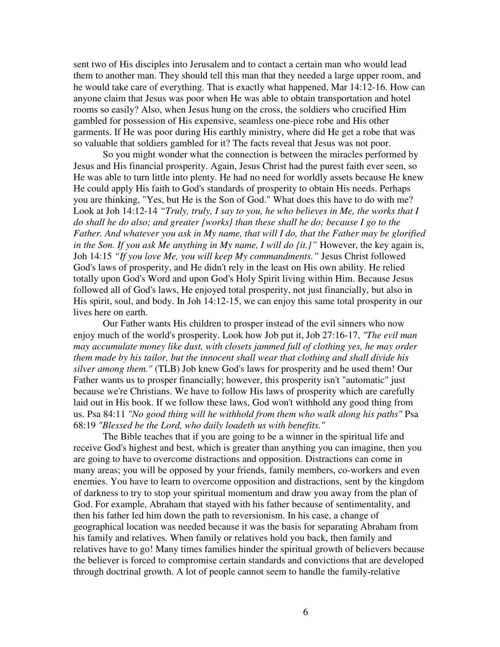sent two of His disciples into Jerusalem and to contact a certain man who would lead them to another man. They should tell this man that they needed a large upper room, and he would take care of everything. That is exactly what happened, Mar 14:12-16. How can anyone claim that Jesus was poor when He was able to obtain transportation and hotel rooms so easily? Also, when Jesus hung on the cross, the soldiers who crucified Him gambled for possession of His expensive, seamless one-piece robe and His other garments. If He was poor during His earthly ministry, where did He get a robe that was so valuable that soldiers gambled for it? The facts reveal that Jesus was not poor.

So you might wonder what the connection is between the miracles performed by Jesus and His financial prosperity. Again, Jesus Christ had the purest faith ever seen, so He was able to turn little into plenty. He had no need for worldly assets because He knew He could apply His faith to God's standards of prosperity to obtain His needs. Perhaps you are thinking, "Yes, but He is the Son of God." What does this have to do with me? Look at Joh 14:12-14 *"Truly, truly, I say to you, he who believes in Me, the works that I do shall he do also; and greater {works} than these shall he do; because I go to the Father. And whatever you ask in My name, that will I do, that the Father may be glorified in the Son. If you ask Me anything in My name, I will do {it.}"* However, the key again is, Joh 14:15 *"If you love Me, you will keep My commandments."* Jesus Christ followed God's laws of prosperity, and He didn't rely in the least on His own ability. He relied totally upon God's Word and upon God's Holy Spirit living within Him. Because Jesus followed all of God's laws, He enjoyed total prosperity, not just financially, but also in His spirit, soul, and body. In Joh 14:12-15, we can enjoy this same total prosperity in our lives here on earth.

Our Father wants His children to prosper instead of the evil sinners who now enjoy much of the world's prosperity. Look how Job put it, Job 27:16-17, *"The evil man may accumulate money like dust, with closets jammed full of clothing yes, he may order them made by his tailor, but the innocent shall wear that clothing and shall divide his silver among them."* (TLB) Job knew God's laws for prosperity and he used them! Our Father wants us to prosper financially; however, this prosperity isn't "automatic" just because we're Christians. We have to follow His laws of prosperity which are carefully laid out in His book. If we follow these laws, God won't withhold any good thing from us. Psa 84:11 *"No good thing will he withhold from them who walk along his paths"* Psa 68:19 *"Blessed be the Lord, who daily loadeth us with benefits."*

The Bible teaches that if you are going to be a winner in the spiritual life and receive God's highest and best, which is greater than anything you can imagine, then you are going to have to overcome distractions and opposition. Distractions can come in many areas; you will be opposed by your friends, family members, co-workers and even enemies. You have to learn to overcome opposition and distractions, sent by the kingdom of darkness to try to stop your spiritual momentum and draw you away from the plan of God. For example, Abraham that stayed with his father because of sentimentality, and then his father led him down the path to reversionism. In his case, a change of geographical location was needed because it was the basis for separating Abraham from his family and relatives. When family or relatives hold you back, then family and relatives have to go! Many times families hinder the spiritual growth of believers because the believer is forced to compromise certain standards and convictions that are developed through doctrinal growth. A lot of people cannot seem to handle the family-relative